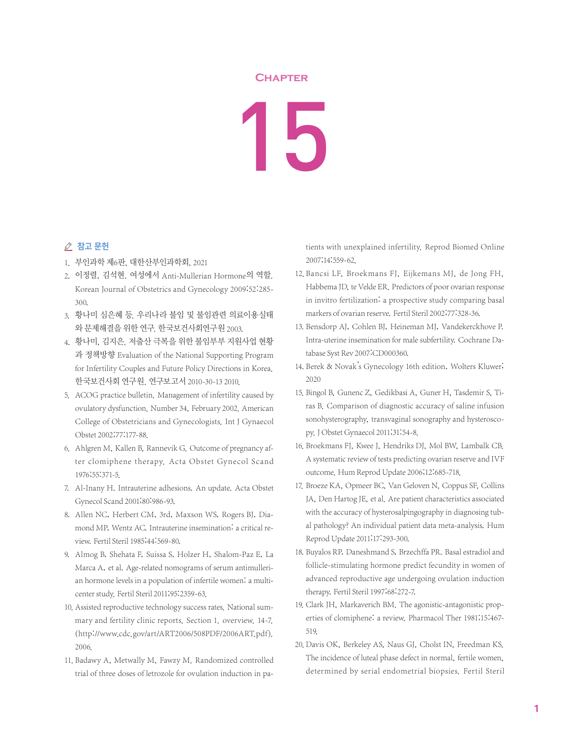## **Chapter**

## 15

## △ 참고 문헌

- 1. 부인과학 제6판, 대한산부인과학회, 2021
- 2. 이정렬, 김석현. 여성에서 Anti-Mullerian Hormone의 역할. Korean Journal of Obstetrics and Gynecology 2009;52:285- 300.
- 3. 황나미 심은혜 등. 우리나라 불임 및 불임관련 의료이용실태 와 문제해결을 위한 연구. 한국보건사회연구원 2003.
- 4. 황나미, 김지은. 저출산 극복을 위한 불임부부 지원사업 현황 과 정책방향 Evaluation of the National Supporting Program for Infertility Couples and Future Policy Directions in Korea. 한국보건사회 연구원. 연구보고서 2010-30-13 2010.
- 5. ACOG practice bulletin. Management of infertility caused by ovulatory dysfunction. Number 34, February 2002. American College of Obstetricians and Gynecologists. Int J Gynaecol Obstet 2002;77:177-88.
- 6. Ahlgren M, Kallen B, Rannevik G. Outcome of pregnancy after clomiphene therapy. Acta Obstet Gynecol Scand 1976;55:371-5.
- 7. Al-Inany H. Intrauterine adhesions. An update. Acta Obstet Gynecol Scand 2001;80:986-93.
- 8. Allen NC, Herbert CM, 3rd, Maxson WS, Rogers BJ, Diamond MP, Wentz AC. Intrauterine insemination: a critical review. Fertil Steril 1985;44:569-80.
- 9. Almog B, Shehata F, Suissa S, Holzer H, Shalom-Paz E, La Marca A, et al. Age-related nomograms of serum antimullerian hormone levels in a population of infertile women: a multicenter study. Fertil Steril 2011;95:2359-63.
- 10. Assisted reproductive technology success rates. National summary and fertility clinic reports. Section 1. overview. 14-7. (http://www.cdc.gov/art/ART2006/508PDF/2006ART.pdf). 2006.
- 11. Badawy A, Metwally M, Fawzy M. Randomized controlled trial of three doses of letrozole for ovulation induction in pa-

tients with unexplained infertility. Reprod Biomed Online 2007;14:559-62.

- 12. Bancsi LF, Broekmans FJ, Eijkemans MJ, de Jong FH, Habbema JD, te Velde ER. Predictors of poor ovarian response in invitro fertilization: a prospective study comparing basal markers of ovarian reserve. Fertil Steril 2002;77:328-36.
- 13. Bensdorp AJ, Cohlen BJ, Heineman MJ, Vandekerckhove P. Intra-uterine insemination for male subfertility. Cochrane Database Syst Rev 2007:CD000360.
- 14. Berek & Novak's Gynecology 16th edition, Wolters Kluwer; 2020
- 15. Bingol B, Gunenc Z, Gedikbasi A, Guner H, Tasdemir S, Tiras B. Comparison of diagnostic accuracy of saline infusion sonohysterography, transvaginal sonography and hysteroscopy.J Obstet Gynaecol 2011;31:54-8.
- 16. Broekmans FJ, Kwee J, Hendriks DJ, Mol BW, Lambalk CB. A systematic review of tests predicting ovarian reserve and IVF outcome. Hum Reprod Update 2006;12:685-718.
- 17. Broeze KA, Opmeer BC, Van Geloven N, Coppus SF, Collins JA, Den Hartog JE, et al. Are patient characteristics associated with the accuracy of hysterosalpingography in diagnosing tubal pathology? An individual patient data meta-analysis. Hum Reprod Update 2011;17:293-300.
- 18. Buyalos RP, Daneshmand S, Brzechffa PR. Basal estradiol and follicle-stimulating hormone predict fecundity in women of advanced reproductive age undergoing ovulation induction therapy. Fertil Steril 1997;68:272-7.
- 19. Clark JH, Markaverich BM. The agonistic-antagonistic properties of clomiphene: a review. Pharmacol Ther 1981;15:467- 519.
- 20. Davis OK, Berkeley AS, Naus GJ, Cholst IN, Freedman KS. The incidence of luteal phase defect in normal, fertile women, determined by serial endometrial biopsies. Fertil Steril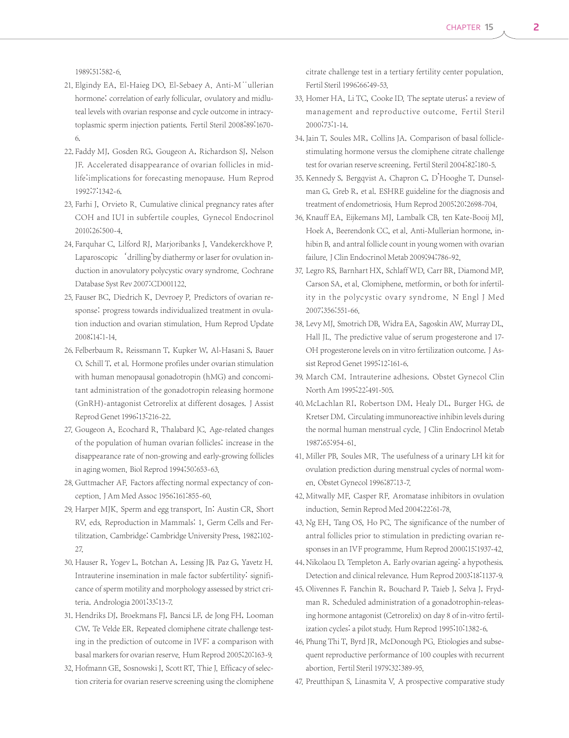1989;51:582-6.

- 21. Elgindy EA, El-Haieg DO, El-Sebaey A. Anti-M<sup>"</sup>ullerian hormone: correlation of early follicular, ovulatory and midluteal levels with ovarian response and cycle outcome in intracytoplasmic sperm injection patients. Fertil Steril 2008;89:1670- 6.
- 22. Faddy MJ, Gosden RG, Gougeon A, Richardson SJ, Nelson JF. Accelerated disappearance of ovarian follicles in midlife:implications for forecasting menopause. Hum Reprod 1992;7:1342-6.
- 23. Farhi J, Orvieto R. Cumulative clinical pregnancy rates after COH and IUI in subfertile couples. Gynecol Endocrinol 2010;26:500-4.
- 24. Farquhar C, Lilford RJ, Marjoribanks J, Vandekerckhove P. Laparoscopic 'drilling'by diathermy or laser for ovulation induction in anovulatory polycystic ovary syndrome. Cochrane Database Syst Rev 2007:CD001122.
- 25. Fauser BC, Diedrich K, Devroey P. Predictors of ovarian response: progress towards individualized treatment in ovulation induction and ovarian stimulation. Hum Reprod Update 2008;14:1-14.
- 26. Felberbaum R, Reissmann T, Kupker W, Al-Hasani S, Bauer O, Schill T, et al. Hormone profiles under ovarian stimulation with human menopausal gonadotropin (hMG) and concomitant administration of the gonadotropin releasing hormone (GnRH)-antagonist Cetrorelix at different dosages. J Assist Reprod Genet 1996;13:216-22.
- 27. Gougeon A, Ecochard R, Thalabard JC. Age-related changes of the population of human ovarian follicles: increase in the disappearance rate of non-growing and early-growing follicles in aging women. Biol Reprod 1994;50:653-63.
- 28. Guttmacher AF. Factors affecting normal expectancy of conception.J Am Med Assoc 1956;161:855-60.
- 29. Harper MJK. Sperm and egg transport. In: Austin CR, Short RV, eds. Reproduction in Mammals: 1, Germ Cells and Fertilitzation. Cambridge: Cambridge University Press, 1982;102- 27.
- 30. Hauser R, Yogev L, Botchan A, Lessing JB, Paz G, Yavetz H. Intrauterine insemination in male factor subfertility: significance of sperm motility and morphology assessed by strict criteria. Andrologia 2001;33:13-7.
- 31. Hendriks DJ, Broekmans FJ, Bancsi LF, de Jong FH, Looman CW, Te Velde ER. Repeated clomiphene citrate challenge testing in the prediction of outcome in IVF: a comparison with basal markers for ovarian reserve. Hum Reprod 2005;20:163-9.
- 32. Hofmann GE, Sosnowski J, Scott RT, Thie J. Efficacy of selection criteria for ovarian reserve screening using the clomiphene

citrate challenge test in a tertiary fertility center population. Fertil Steril 1996;66:49-53.

- 33. Homer HA, Li TC, Cooke ID. The septate uterus: a review of management and reproductive outcome. Fertil Steril 2000;73:1-14.
- 34. Jain T, Soules MR, Collins JA. Comparison of basal folliclestimulating hormone versus the clomiphene citrate challenge test for ovarian reserve screening. Fertil Steril 2004;82:180-5.
- 35. Kennedy S, Bergqvist A, Chapron C, D'Hooghe T, Dunselman G, Greb R, et al. ESHRE guideline for the diagnosis and treatment of endometriosis. Hum Reprod 2005;20:2698-704.
- 36. Knauff EA, Eijkemans MJ, Lambalk CB, ten Kate-Booij MJ, Hoek A, Beerendonk CC, et al. Anti-Mullerian hormone, inhibin B, and antral follicle count in young women with ovarian failure. J Clin Endocrinol Metab 2009;94:786-92.
- 37. Legro RS, Barnhart HX, Schlaff WD, Carr BR, Diamond MP, Carson SA, et al. Clomiphene, metformin, or both for infertility in the polycystic ovary syndrome. N Engl J Med 2007;356:551-66.
- 38. Levy MJ, Smotrich DB, Widra EA, Sagoskin AW, Murray DL, Hall JL. The predictive value of serum progesterone and 17- OH progesterone levels on in vitro fertilization outcome. J Assist Reprod Genet 1995;12:161-6.
- 39. March CM. Intrauterine adhesions. Obstet Gynecol Clin North Am 1995;22:491-505.
- 40. McLachlan RI, Robertson DM, Healy DL, Burger HG, de Kretser DM. Circulating immunoreactive inhibin levels during the normal human menstrual cycle. J Clin Endocrinol Metab 1987;65:954-61.
- 41. Miller PB, Soules MR. The usefulness of a urinary LH kit for ovulation prediction during menstrual cycles of normal women. Obstet Gynecol 1996;87:13-7.
- 42. Mitwally MF, Casper RF. Aromatase inhibitors in ovulation induction. Semin Reprod Med 2004;22:61-78.
- 43. Ng EH, Tang OS, Ho PC. The significance of the number of antral follicles prior to stimulation in predicting ovarian responses in an IVF programme. Hum Reprod 2000;15:1937-42.
- 44. Nikolaou D, Templeton A. Early ovarian ageing: a hypothesis. Detection and clinical relevance. Hum Reprod 2003;18:1137-9.
- 45. Olivennes F, Fanchin R, Bouchard P, Taieb J, Selva J, Frydman R. Scheduled administration of a gonadotrophin-releasing hormone antagonist (Cetrorelix) on day 8 of in-vitro fertilization cycles: a pilot study. Hum Reprod 1995;10:1382-6.
- 46. Phung Thi T, Byrd JR, McDonough PG. Etiologies and subsequent reproductive performance of 100 couples with recurrent abortion. Fertil Steril 1979;32:389-95.
- 47. Preutthipan S, Linasmita V. A prospective comparative study